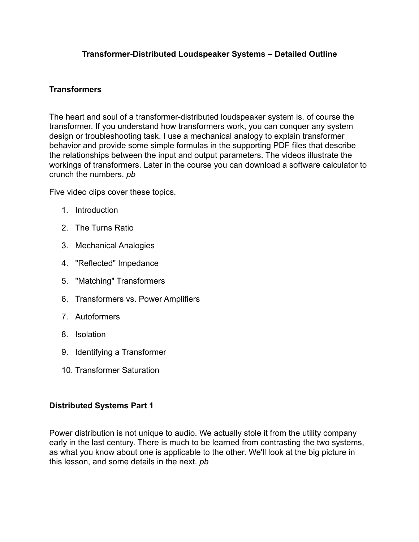### **Transformer-Distributed Loudspeaker Systems – Detailed Outline**

#### **Transformers**

The heart and soul of a transformer-distributed loudspeaker system is, of course the transformer. If you understand how transformers work, you can conquer any system design or troubleshooting task. I use a mechanical analogy to explain transformer behavior and provide some simple formulas in the supporting PDF files that describe the relationships between the input and output parameters. The videos illustrate the workings of transformers. Later in the course you can download a software calculator to crunch the numbers. *pb* 

Five video clips cover these topics.

- 1. Introduction
- 2. The Turns Ratio
- 3. Mechanical Analogies
- 4. "Reflected" Impedance
- 5. "Matching" Transformers
- 6. Transformers vs. Power Amplifiers
- 7. Autoformers
- 8. Isolation
- 9. Identifying a Transformer
- 10. Transformer Saturation

## **Distributed Systems Part 1**

Power distribution is not unique to audio. We actually stole it from the utility company early in the last century. There is much to be learned from contrasting the two systems, as what you know about one is applicable to the other. We'll look at the big picture in this lesson, and some details in the next. *pb*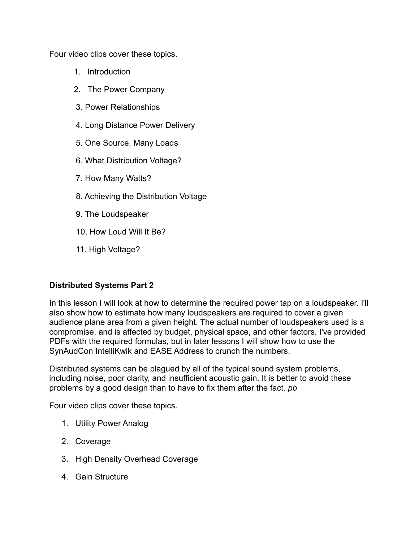Four video clips cover these topics.

- 1. Introduction
- 2. The Power Company
- 3. Power Relationships
- 4. Long Distance Power Delivery
- 5. One Source, Many Loads
- 6. What Distribution Voltage?
- 7. How Many Watts?
- 8. Achieving the Distribution Voltage
- 9. The Loudspeaker
- 10. How Loud Will It Be?
- 11. High Voltage?

# **Distributed Systems Part 2**

In this lesson I will look at how to determine the required power tap on a loudspeaker. I'll also show how to estimate how many loudspeakers are required to cover a given audience plane area from a given height. The actual number of loudspeakers used is a compromise, and is affected by budget, physical space, and other factors. I've provided PDFs with the required formulas, but in later lessons I will show how to use the SynAudCon IntelliKwik and EASE Address to crunch the numbers.

Distributed systems can be plagued by all of the typical sound system problems, including noise, poor clarity, and insufficient acoustic gain. It is better to avoid these problems by a good design than to have to fix them after the fact. *pb* 

Four video clips cover these topics.

- 1. Utility Power Analog
- 2. Coverage
- 3. High Density Overhead Coverage
- 4. Gain Structure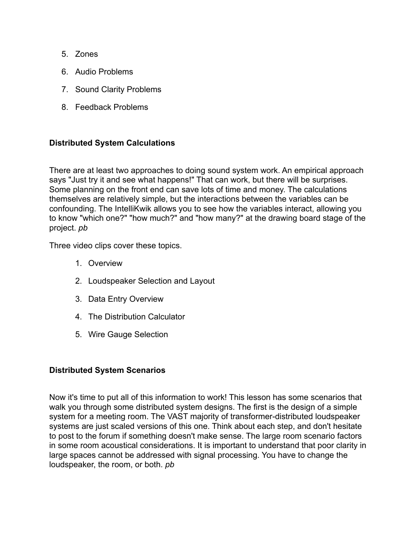- 5. Zones
- 6. Audio Problems
- 7. Sound Clarity Problems
- 8. Feedback Problems

## **Distributed System Calculations**

There are at least two approaches to doing sound system work. An empirical approach says "Just try it and see what happens!" That can work, but there will be surprises. Some planning on the front end can save lots of time and money. The calculations themselves are relatively simple, but the interactions between the variables can be confounding. The IntelliKwik allows you to see how the variables interact, allowing you to know "which one?" "how much?" and "how many?" at the drawing board stage of the project. *pb* 

Three video clips cover these topics.

- 1. Overview
- 2. Loudspeaker Selection and Layout
- 3. Data Entry Overview
- 4. The Distribution Calculator
- 5. Wire Gauge Selection

## **Distributed System Scenarios**

Now it's time to put all of this information to work! This lesson has some scenarios that walk you through some distributed system designs. The first is the design of a simple system for a meeting room. The VAST majority of transformer-distributed loudspeaker systems are just scaled versions of this one. Think about each step, and don't hesitate to post to the forum if something doesn't make sense. The large room scenario factors in some room acoustical considerations. It is important to understand that poor clarity in large spaces cannot be addressed with signal processing. You have to change the loudspeaker, the room, or both. *pb*